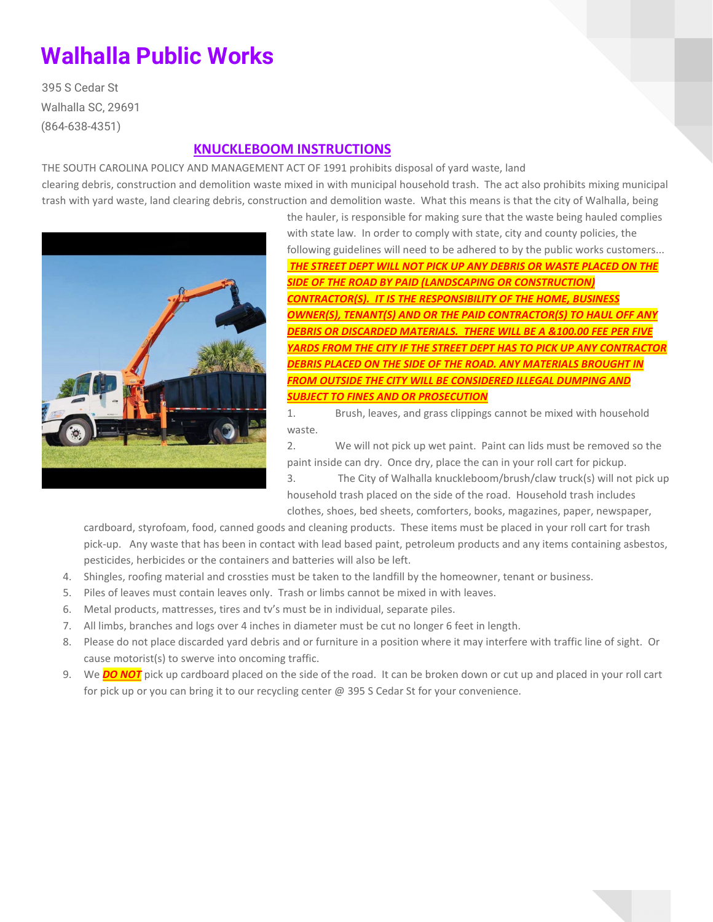## **Walhalla Public Works**

395 S Cedar St Walhalla SC, 29691 (864-638-4351)

## **KNUCKLEBOOM INSTRUCTIONS**

THE SOUTH CAROLINA POLICY AND MANAGEMENT ACT OF 1991 prohibits disposal of yard waste, land clearing debris, construction and demolition waste mixed in with municipal household trash. The act also prohibits mixing municipal trash with yard waste, land clearing debris, construction and demolition waste. What this means is that the city of Walhalla, being



the hauler, is responsible for making sure that the waste being hauled complies with state law. In order to comply with state, city and county policies, the following guidelines will need to be adhered to by the public works customers... *THE STREET DEPT WILL NOT PICK UP ANY DEBRIS OR WASTE PLACED ON THE SIDE OF THE ROAD BY PAID (LANDSCAPING OR CONSTRUCTION) CONTRACTOR(S). IT IS THE RESPONSIBILITY OF THE HOME, BUSINESS OWNER(S), TENANT(S) AND OR THE PAID CONTRACTOR(S) TO HAUL OFF ANY DEBRIS OR DISCARDED MATERIALS. THERE WILL BE A &100.00 FEE PER FIVE YARDS FROM THE CITY IF THE STREET DEPT HAS TO PICK UP ANY CONTRACTOR DEBRIS PLACED ON THE SIDE OF THE ROAD. ANY MATERIALS BROUGHT IN FROM OUTSIDE THE CITY WILL BE CONSIDERED ILLEGAL DUMPING AND SUBJECT TO FINES AND OR PROSECUTION*

1. Brush, leaves, and grass clippings cannot be mixed with household waste.

2. We will not pick up wet paint. Paint can lids must be removed so the paint inside can dry. Once dry, place the can in your roll cart for pickup. 3. The City of Walhalla knuckleboom/brush/claw truck(s) will not pick up household trash placed on the side of the road. Household trash includes clothes, shoes, bed sheets, comforters, books, magazines, paper, newspaper,

cardboard, styrofoam, food, canned goods and cleaning products. These items must be placed in your roll cart for trash pick-up. Any waste that has been in contact with lead based paint, petroleum products and any items containing asbestos, pesticides, herbicides or the containers and batteries will also be left.

- 4. Shingles, roofing material and crossties must be taken to the landfill by the homeowner, tenant or business.
- 5. Piles of leaves must contain leaves only. Trash or limbs cannot be mixed in with leaves.
- 6. Metal products, mattresses, tires and tv's must be in individual, separate piles.
- 7. All limbs, branches and logs over 4 inches in diameter must be cut no longer 6 feet in length.
- 8. Please do not place discarded yard debris and or furniture in a position where it may interfere with traffic line of sight. Or cause motorist(s) to swerve into oncoming traffic.
- 9. We *DO NOT* pick up cardboard placed on the side of the road. It can be broken down or cut up and placed in your roll cart for pick up or you can bring it to our recycling center @ 395 S Cedar St for your convenience.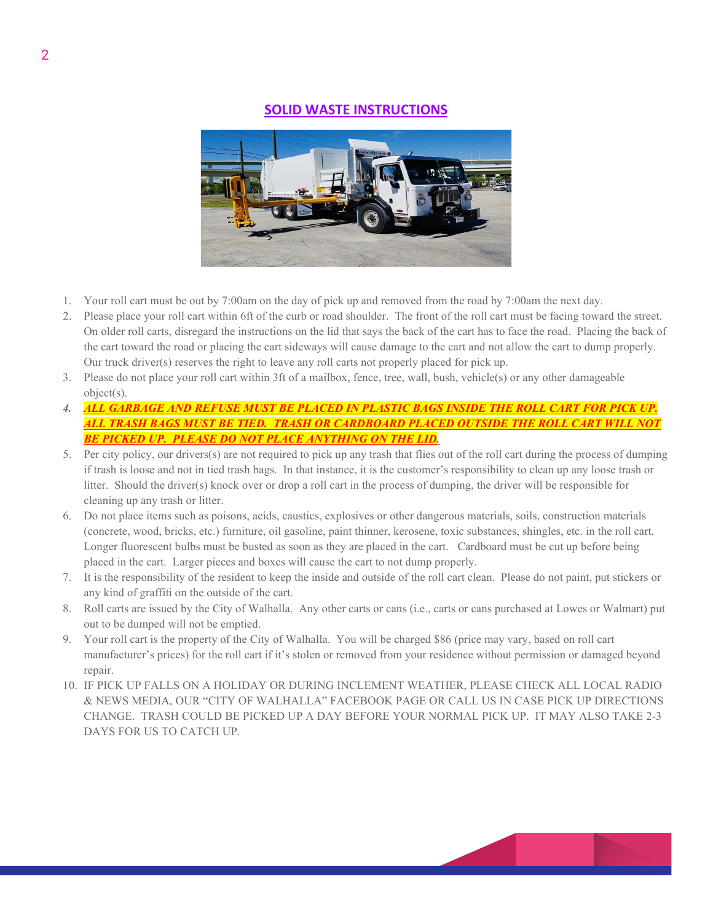## **SOLID WASTE INSTRUCTIONS**



- 1. Your roll cart must be out by 7:00am on the day of pick up and removed from the road by 7:00am the next day.
- 2. Please place your roll cart within 6ft of the curb or road shoulder. The front of the roll cart must be facing toward the street. On older roll carts, disregard the instructions on the lid that says the back of the cart has to face the road. Placing the back of the cart toward the road or placing the cart sideways will cause damage to the cart and not allow the cart to dump properly. Our truck driver(s) reserves the right to leave any roll carts not properly placed for pick up.
- 3. Please do not place your roll cart within 3ft of a mailbox, fence, tree, wall, bush, vehicle(s) or any other damageable object(s).
- *4. ALL GARBAGE AND REFUSE MUST BE PLACED IN PLASTIC BAGS INSIDE THE ROLL CART FOR PICK UP. ALL TRASH BAGS MUST BE TIED. TRASH OR CARDBOARD PLACED OUTSIDE THE ROLL CART WILL NOT BE PICKED UP. PLEASE DO NOT PLACE ANYTHING ON THE LID.*
- 5. Per city policy, our drivers(s) are not required to pick up any trash that flies out of the roll cart during the process of dumping if trash is loose and not in tied trash bags. In that instance, it is the customer's responsibility to clean up any loose trash or litter. Should the driver(s) knock over or drop a roll cart in the process of dumping, the driver will be responsible for cleaning up any trash or litter.
- 6. Do not place items such as poisons, acids, caustics, explosives or other dangerous materials, soils, construction materials (concrete, wood, bricks, etc.) furniture, oil gasoline, paint thinner, kerosene, toxic substances, shingles, etc. in the roll cart. Longer fluorescent bulbs must be busted as soon as they are placed in the cart. Cardboard must be cut up before being placed in the cart. Larger pieces and boxes will cause the cart to not dump properly.
- 7. It is the responsibility of the resident to keep the inside and outside of the roll cart clean. Please do not paint, put stickers or any kind of graffiti on the outside of the cart.
- 8. Roll carts are issued by the City of Walhalla. Any other carts or cans (i.e., carts or cans purchased at Lowes or Walmart) put out to be dumped will not be emptied.
- 9. Your roll cart is the property of the City of Walhalla. You will be charged \$86 (price may vary, based on roll cart manufacturer's prices) for the roll cart if it's stolen or removed from your residence without permission or damaged beyond repair.
- 10. IF PICK UP FALLS ON A HOLIDAY OR DURING INCLEMENT WEATHER, PLEASE CHECK ALL LOCAL RADIO & NEWS MEDIA, OUR "CITY OF WALHALLA" FACEBOOK PAGE OR CALL US IN CASE PICK UP DIRECTIONS CHANGE. TRASH COULD BE PICKED UP A DAY BEFORE YOUR NORMAL PICK UP. IT MAY ALSO TAKE 2-3 DAYS FOR US TO CATCH UP.